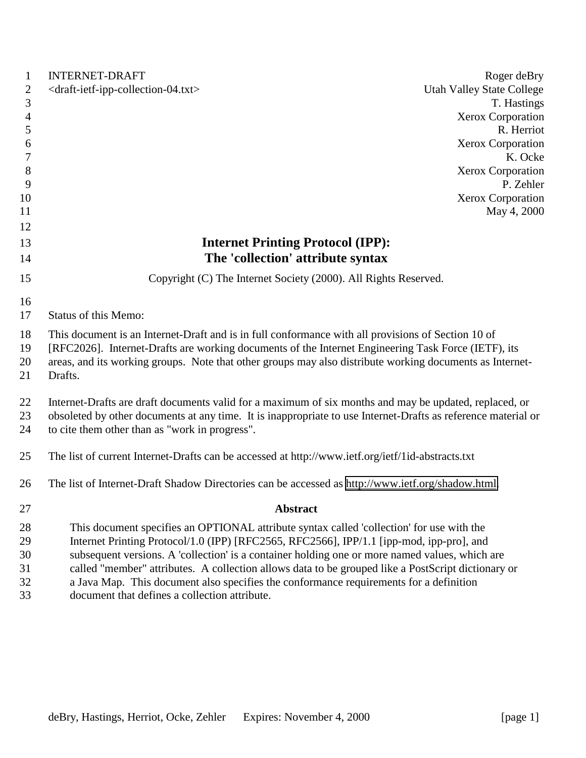| $\mathbf{1}$   | <b>INTERNET-DRAFT</b><br>Roger deBry                                                                                |  |
|----------------|---------------------------------------------------------------------------------------------------------------------|--|
| $\mathbf{2}$   | <draft-ietf-ipp-collection-04.txt><br/><b>Utah Valley State College</b></draft-ietf-ipp-collection-04.txt>          |  |
| 3              | T. Hastings                                                                                                         |  |
| $\overline{4}$ | Xerox Corporation                                                                                                   |  |
| 5              | R. Herriot                                                                                                          |  |
| 6              | Xerox Corporation                                                                                                   |  |
| 7              | K. Ocke                                                                                                             |  |
| $8\phantom{1}$ | Xerox Corporation                                                                                                   |  |
| 9              | P. Zehler                                                                                                           |  |
| 10             | Xerox Corporation                                                                                                   |  |
| 11             | May 4, 2000                                                                                                         |  |
| 12             |                                                                                                                     |  |
| 13             | <b>Internet Printing Protocol (IPP):</b>                                                                            |  |
| 14             | The 'collection' attribute syntax                                                                                   |  |
| 15             | Copyright (C) The Internet Society (2000). All Rights Reserved.                                                     |  |
| 16             |                                                                                                                     |  |
| 17             | <b>Status of this Memo:</b>                                                                                         |  |
|                |                                                                                                                     |  |
| 18             | This document is an Internet-Draft and is in full conformance with all provisions of Section 10 of                  |  |
| 19             | [RFC2026]. Internet-Drafts are working documents of the Internet Engineering Task Force (IETF), its                 |  |
| 20<br>21       | areas, and its working groups. Note that other groups may also distribute working documents as Internet-<br>Drafts. |  |
|                |                                                                                                                     |  |
| 22             | Internet-Drafts are draft documents valid for a maximum of six months and may be updated, replaced, or              |  |
| 23             | obsoleted by other documents at any time. It is inappropriate to use Internet-Drafts as reference material or       |  |
| 24             | to cite them other than as "work in progress".                                                                      |  |
|                |                                                                                                                     |  |
| 25             | The list of current Internet-Drafts can be accessed at http://www.ietf.org/ietf/1id-abstracts.txt                   |  |
| 26             | The list of Internet-Draft Shadow Directories can be accessed as http://www.ietf.org/shadow.html.                   |  |
|                |                                                                                                                     |  |
| 27             | <b>Abstract</b>                                                                                                     |  |
| 28             | This document specifies an OPTIONAL attribute syntax called 'collection' for use with the                           |  |
| 29             | Internet Printing Protocol/1.0 (IPP) [RFC2565, RFC2566], IPP/1.1 [ipp-mod, ipp-pro], and                            |  |
| 30             | subsequent versions. A 'collection' is a container holding one or more named values, which are                      |  |
| 31             | called "member" attributes. A collection allows data to be grouped like a PostScript dictionary or                  |  |
| 32             | a Java Map. This document also specifies the conformance requirements for a definition                              |  |
| 33             | document that defines a collection attribute.                                                                       |  |
|                |                                                                                                                     |  |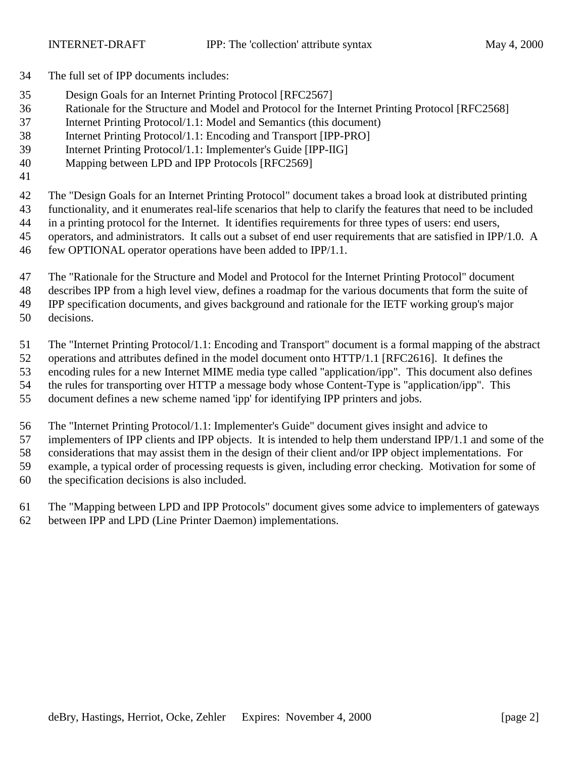- The full set of IPP documents includes:
- Design Goals for an Internet Printing Protocol [RFC2567]
- Rationale for the Structure and Model and Protocol for the Internet Printing Protocol [RFC2568]
- Internet Printing Protocol/1.1: Model and Semantics (this document)
- Internet Printing Protocol/1.1: Encoding and Transport [IPP-PRO]
- Internet Printing Protocol/1.1: Implementer's Guide [IPP-IIG]
- Mapping between LPD and IPP Protocols [RFC2569]
- 

 The "Design Goals for an Internet Printing Protocol" document takes a broad look at distributed printing functionality, and it enumerates real-life scenarios that help to clarify the features that need to be included

- in a printing protocol for the Internet. It identifies requirements for three types of users: end users,
- operators, and administrators. It calls out a subset of end user requirements that are satisfied in IPP/1.0. A
- few OPTIONAL operator operations have been added to IPP/1.1.
- The "Rationale for the Structure and Model and Protocol for the Internet Printing Protocol" document
- describes IPP from a high level view, defines a roadmap for the various documents that form the suite of

IPP specification documents, and gives background and rationale for the IETF working group's major

decisions.

The "Internet Printing Protocol/1.1: Encoding and Transport" document is a formal mapping of the abstract

operations and attributes defined in the model document onto HTTP/1.1 [RFC2616]. It defines the

encoding rules for a new Internet MIME media type called "application/ipp". This document also defines

the rules for transporting over HTTP a message body whose Content-Type is "application/ipp". This

document defines a new scheme named 'ipp' for identifying IPP printers and jobs.

The "Internet Printing Protocol/1.1: Implementer's Guide" document gives insight and advice to

implementers of IPP clients and IPP objects. It is intended to help them understand IPP/1.1 and some of the

considerations that may assist them in the design of their client and/or IPP object implementations. For

example, a typical order of processing requests is given, including error checking. Motivation for some of

the specification decisions is also included.

The "Mapping between LPD and IPP Protocols" document gives some advice to implementers of gateways

between IPP and LPD (Line Printer Daemon) implementations.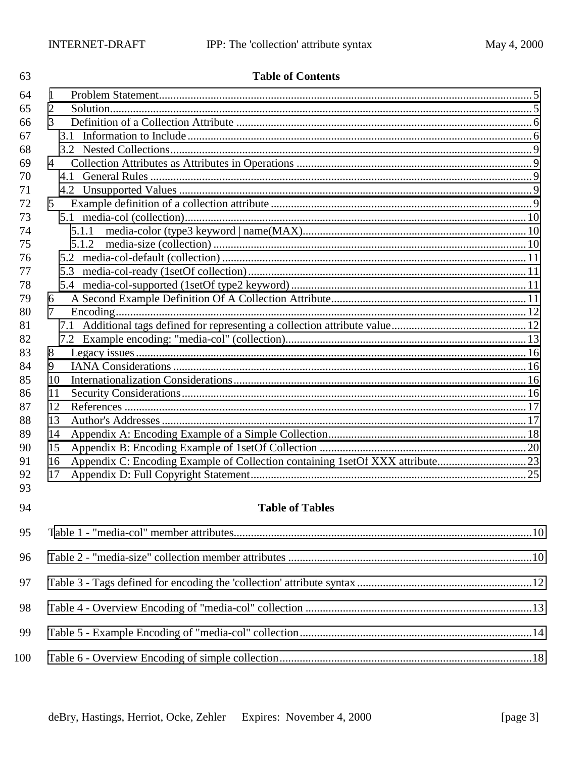98

99

100

| 63       | <b>Table of Contents</b> |  |
|----------|--------------------------|--|
| 64       | 1                        |  |
| 65       | 2                        |  |
| 66       | 3                        |  |
| 67       |                          |  |
| 68       |                          |  |
| 69       | $\overline{4}$           |  |
| 70       |                          |  |
| 71       |                          |  |
| 72       | 5                        |  |
| 73       |                          |  |
| 74       | 5.1.1                    |  |
| 75       | 5.1.2                    |  |
| 76       |                          |  |
| 77       |                          |  |
| 78       |                          |  |
| 79       | 6                        |  |
| 80       | 7                        |  |
| 81       |                          |  |
| 82       |                          |  |
| 83       | 8                        |  |
| 84       | 9                        |  |
| 85       | 10                       |  |
| 86       | 11                       |  |
| 87       | 12                       |  |
| 88       | 13                       |  |
| 89       | 14                       |  |
| 90       | 15                       |  |
| 91       | 16                       |  |
| 92<br>93 | 17                       |  |
|          |                          |  |
| 94       | <b>Table of Tables</b>   |  |
| 95       |                          |  |
| 96       |                          |  |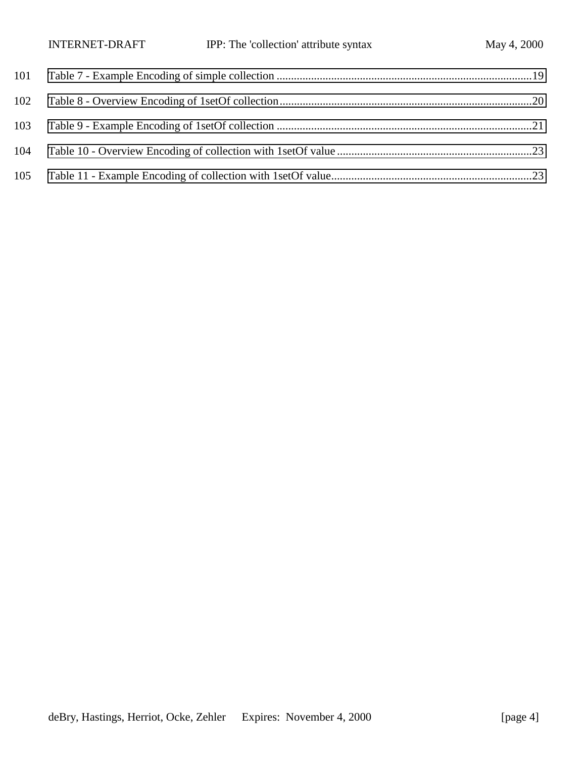|     | <b>INTERNET-DRAFT</b> | IPP: The 'collection' attribute syntax | May 4, 2000 |
|-----|-----------------------|----------------------------------------|-------------|
| 101 |                       |                                        |             |
| 102 |                       |                                        |             |
| 103 |                       |                                        |             |
| 104 |                       |                                        |             |
| 105 |                       |                                        |             |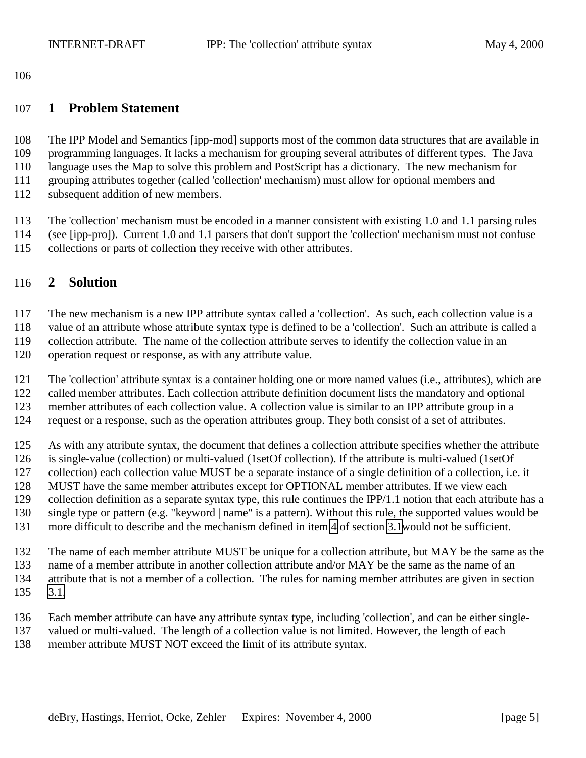### <span id="page-4-0"></span>**1 Problem Statement**

 The IPP Model and Semantics [ipp-mod] supports most of the common data structures that are available in programming languages. It lacks a mechanism for grouping several attributes of different types. The Java language uses the Map to solve this problem and PostScript has a dictionary. The new mechanism for grouping attributes together (called 'collection' mechanism) must allow for optional members and subsequent addition of new members.

 The 'collection' mechanism must be encoded in a manner consistent with existing 1.0 and 1.1 parsing rules (see [ipp-pro]). Current 1.0 and 1.1 parsers that don't support the 'collection' mechanism must not confuse collections or parts of collection they receive with other attributes.

## **2 Solution**

The new mechanism is a new IPP attribute syntax called a 'collection'. As such, each collection value is a

value of an attribute whose attribute syntax type is defined to be a 'collection'. Such an attribute is called a

collection attribute. The name of the collection attribute serves to identify the collection value in an

operation request or response, as with any attribute value.

The 'collection' attribute syntax is a container holding one or more named values (i.e., attributes), which are

called member attributes. Each collection attribute definition document lists the mandatory and optional

member attributes of each collection value. A collection value is similar to an IPP attribute group in a

request or a response, such as the operation attributes group. They both consist of a set of attributes.

 As with any attribute syntax, the document that defines a collection attribute specifies whether the attribute is single-value (collection) or multi-valued (1setOf collection). If the attribute is multi-valued (1setOf collection) each collection value MUST be a separate instance of a single definition of a collection, i.e. it MUST have the same member attributes except for OPTIONAL member attributes. If we view each collection definition as a separate syntax type, this rule continues the IPP/1.1 notion that each attribute has a single type or pattern (e.g. "keyword | name" is a pattern). Without this rule, the supported values would be more difficult to describe and the mechanism defined in item [4](#page-5-0) of section [3.1w](#page-5-0)ould not be sufficient.

The name of each member attribute MUST be unique for a collection attribute, but MAY be the same as the

- name of a member attribute in another collection attribute and/or MAY be the same as the name of an attribute that is not a member of a collection. The rules for naming member attributes are given in section [3.1.](#page-5-0)
- Each member attribute can have any attribute syntax type, including 'collection', and can be either single-
- valued or multi-valued. The length of a collection value is not limited. However, the length of each
- member attribute MUST NOT exceed the limit of its attribute syntax.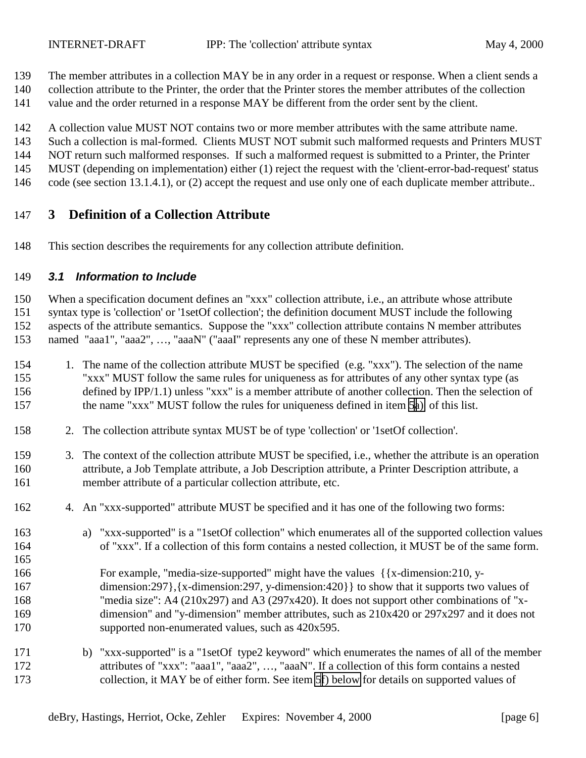- <span id="page-5-0"></span>The member attributes in a collection MAY be in any order in a request or response. When a client sends a
- collection attribute to the Printer, the order that the Printer stores the member attributes of the collection
- value and the order returned in a response MAY be different from the order sent by the client.
- A collection value MUST NOT contains two or more member attributes with the same attribute name.
- Such a collection is mal-formed. Clients MUST NOT submit such malformed requests and Printers MUST
- NOT return such malformed responses. If such a malformed request is submitted to a Printer, the Printer
- MUST (depending on implementation) either (1) reject the request with the 'client-error-bad-request' status
- 146 code (see section 13.1.4.1), or (2) accept the request and use only one of each duplicate member attribute..

# **3 Definition of a Collection Attribute**

This section describes the requirements for any collection attribute definition.

## *3.1 Information to Include*

 When a specification document defines an "xxx" collection attribute, i.e., an attribute whose attribute syntax type is 'collection' or '1setOf collection'; the definition document MUST include the following aspects of the attribute semantics. Suppose the "xxx" collection attribute contains N member attributes named "aaa1", "aaa2", …, "aaaN" ("aaaI" represents any one of these N member attributes).

- 1. The name of the collection attribute MUST be specified (e.g. "xxx"). The selection of the name "xxx" MUST follow the same rules for uniqueness as for attributes of any other syntax type (as defined by IPP/1.1) unless "xxx" is a member attribute of another collection. Then the selection of the name "xxx" MUST follow the rules for uniqueness defined in item [5a\)](#page-6-0) of this list.
- 2. The collection attribute syntax MUST be of type 'collection' or '1setOf collection'.
- 3. The context of the collection attribute MUST be specified, i.e., whether the attribute is an operation attribute, a Job Template attribute, a Job Description attribute, a Printer Description attribute, a member attribute of a particular collection attribute, etc.
- 4. An "xxx-supported" attribute MUST be specified and it has one of the following two forms:
- a) "xxx-supported" is a "1setOf collection" which enumerates all of the supported collection values of "xxx". If a collection of this form contains a nested collection, it MUST be of the same form.
- 
- For example, "media-size-supported" might have the values {{x-dimension:210, y- dimension:297},{x-dimension:297, y-dimension:420}} to show that it supports two values of "media size": A4 (210x297) and A3 (297x420). It does not support other combinations of "x- dimension" and "y-dimension" member attributes, such as 210x420 or 297x297 and it does not supported non-enumerated values, such as 420x595.
- b) "xxx-supported" is a "1setOf type2 keyword" which enumerates the names of all of the member attributes of "xxx": "aaa1", "aaa2", …, "aaaN". If a collection of this form contains a nested collection, it MAY be of either form. See item [5f\) below](#page-6-0) for details on supported values of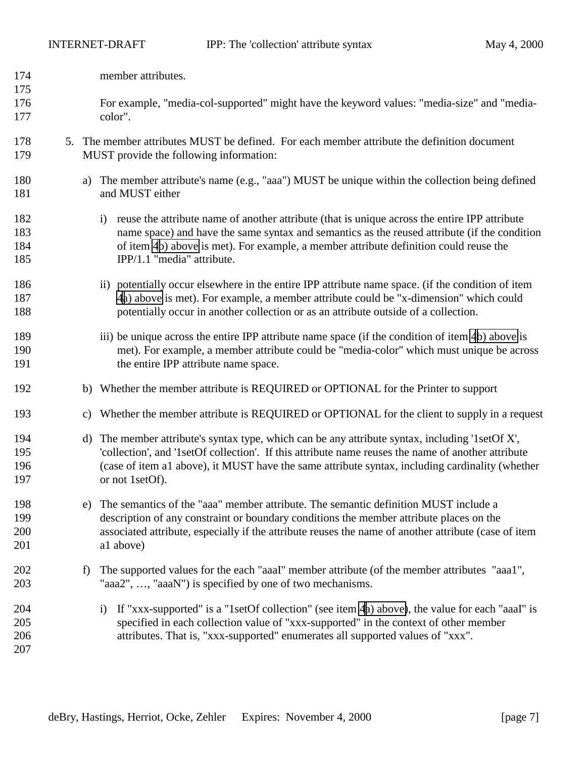- <span id="page-6-0"></span>member attributes.
- For example, "media-col-supported" might have the keyword values: "media-size" and "media-color".
- 5. The member attributes MUST be defined. For each member attribute the definition document MUST provide the following information:
- a) The member attribute's name (e.g., "aaa") MUST be unique within the collection being defined 181 and MUST either
- 182 i) reuse the attribute name of another attribute (that is unique across the entire IPP attribute name space) and have the same syntax and semantics as the reused attribute (if the condition of item [4b](#page-5-0)) above is met). For example, a member attribute definition could reuse the IPP/1.1 "media" attribute.
- ii) potentially occur elsewhere in the entire IPP attribute name space. (if the condition of item [4a\) above](#page-5-0) is met). For example, a member attribute could be "x-dimension" which could potentially occur in another collection or as an attribute outside of a collection.
- iii) be unique across the entire IPP attribute name space (if the condition of item [4b](#page-5-0)) above is met). For example, a member attribute could be "media-color" which must unique be across 191 the entire IPP attribute name space.
- b) Whether the member attribute is REQUIRED or OPTIONAL for the Printer to support
- c) Whether the member attribute is REQUIRED or OPTIONAL for the client to supply in a request
- d) The member attribute's syntax type, which can be any attribute syntax, including '1setOf X', 'collection', and '1setOf collection'. If this attribute name reuses the name of another attribute (case of item a1 above), it MUST have the same attribute syntax, including cardinality (whether or not 1setOf).
- e) The semantics of the "aaa" member attribute. The semantic definition MUST include a description of any constraint or boundary conditions the member attribute places on the associated attribute, especially if the attribute reuses the name of another attribute (case of item a1 above)
- 202 f) The supported values for the each "aaaI" member attribute (of the member attributes "aaa1", "aaa2", …, "aaaN") is specified by one of two mechanisms.
- i) If "xxx-supported" is a "1setOf collection" (see item [4a\) above\)](#page-5-0), the value for each "aaaI" is specified in each collection value of "xxx-supported" in the context of other member attributes. That is, "xxx-supported" enumerates all supported values of "xxx".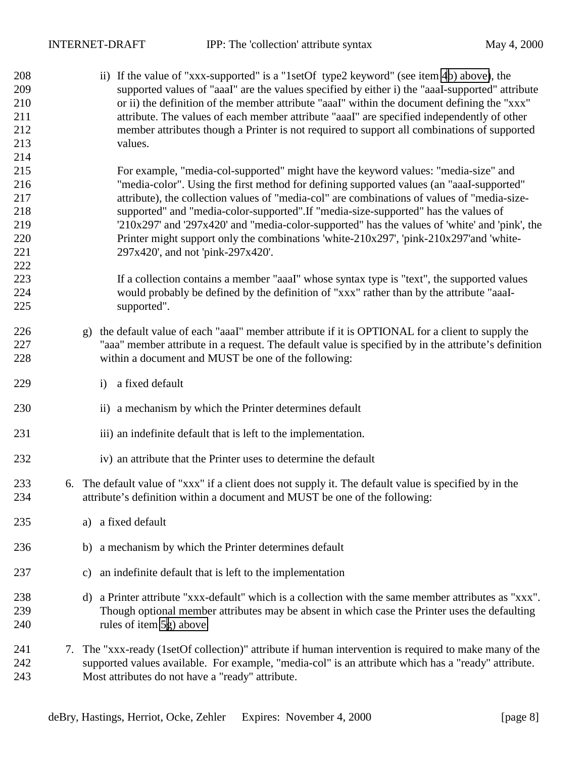ii) If the value of "xxx-supported" is a "1setOf type2 keyword" (see item [4b\) above\)](#page-5-0), the supported values of "aaaI" are the values specified by either i) the "aaaI-supported" attribute or ii) the definition of the member attribute "aaaI" within the document defining the "xxx" attribute. The values of each member attribute "aaaI" are specified independently of other member attributes though a Printer is not required to support all combinations of supported values. For example, "media-col-supported" might have the keyword values: "media-size" and "media-color". Using the first method for defining supported values (an "aaaI-supported" attribute), the collection values of "media-col" are combinations of values of "media-size- supported" and "media-color-supported".If "media-size-supported" has the values of '210x297' and '297x420' and "media-color-supported" has the values of 'white' and 'pink', the 220 Printer might support only the combinations 'white-210x297', 'pink-210x297'and 'white- 297x420', and not 'pink-297x420'. If a collection contains a member "aaaI" whose syntax type is "text", the supported values would probably be defined by the definition of "xxx" rather than by the attribute "aaaI- supported". g) the default value of each "aaaI" member attribute if it is OPTIONAL for a client to supply the "aaa" member attribute in a request. The default value is specified by in the attribute's definition within a document and MUST be one of the following: i) a fixed default 230 ii) a mechanism by which the Printer determines default 231 iii) an indefinite default that is left to the implementation. iv) an attribute that the Printer uses to determine the default 6. The default value of "xxx" if a client does not supply it. The default value is specified by in the attribute's definition within a document and MUST be one of the following: a) a fixed default 236 b) a mechanism by which the Printer determines default c) an indefinite default that is left to the implementation d) a Printer attribute "xxx-default" which is a collection with the same member attributes as "xxx". Though optional member attributes may be absent in which case the Printer uses the defaulting rules of item [5g](#page-6-0)) above. 7. The "xxx-ready (1setOf collection)" attribute if human intervention is required to make many of the supported values available. For example, "media-col" is an attribute which has a "ready" attribute. Most attributes do not have a "ready" attribute.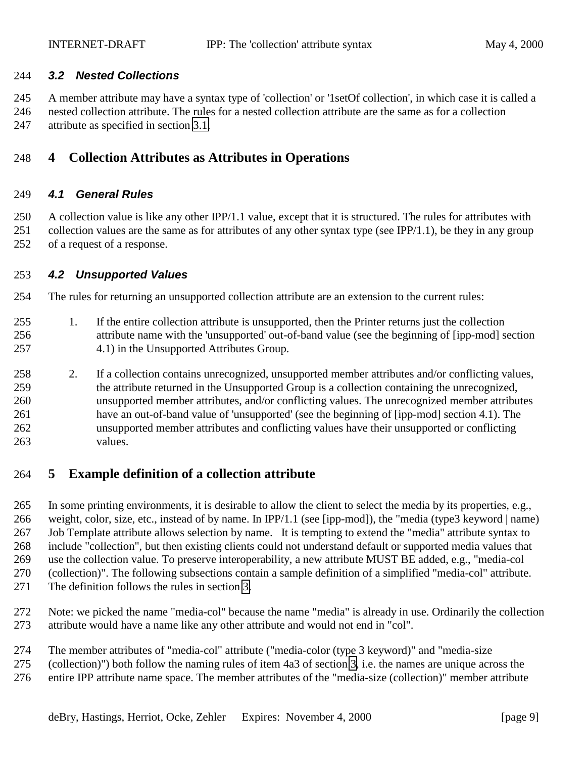#### <span id="page-8-0"></span>*3.2 Nested Collections*

 A member attribute may have a syntax type of 'collection' or '1setOf collection', in which case it is called a nested collection attribute. The rules for a nested collection attribute are the same as for a collection

attribute as specified in section [3.1.](#page-5-0)

## **4 Collection Attributes as Attributes in Operations**

### *4.1 General Rules*

 A collection value is like any other IPP/1.1 value, except that it is structured. The rules for attributes with 251 collection values are the same as for attributes of any other syntax type (see IPP/1.1), be they in any group of a request of a response.

#### *4.2 Unsupported Values*

The rules for returning an unsupported collection attribute are an extension to the current rules:

- 1. If the entire collection attribute is unsupported, then the Printer returns just the collection attribute name with the 'unsupported' out-of-band value (see the beginning of [ipp-mod] section 4.1) in the Unsupported Attributes Group.
- 2. If a collection contains unrecognized, unsupported member attributes and/or conflicting values, the attribute returned in the Unsupported Group is a collection containing the unrecognized, unsupported member attributes, and/or conflicting values. The unrecognized member attributes have an out-of-band value of 'unsupported' (see the beginning of [ipp-mod] section 4.1). The unsupported member attributes and conflicting values have their unsupported or conflicting values.

## **5 Example definition of a collection attribute**

 In some printing environments, it is desirable to allow the client to select the media by its properties, e.g., weight, color, size, etc., instead of by name. In IPP/1.1 (see [ipp-mod]), the "media (type3 keyword | name) Job Template attribute allows selection by name. It is tempting to extend the "media" attribute syntax to include "collection", but then existing clients could not understand default or supported media values that use the collection value. To preserve interoperability, a new attribute MUST BE added, e.g., "media-col (collection)". The following subsections contain a sample definition of a simplified "media-col" attribute. The definition follows the rules in section [3.](#page-5-0)

- Note: we picked the name "media-col" because the name "media" is already in use. Ordinarily the collection attribute would have a name like any other attribute and would not end in "col".
- The member attributes of "media-col" attribute ("media-color (type 3 keyword)" and "media-size
- (collection)") both follow the naming rules of item 4a3 of section [3,](#page-5-0) i.e. the names are unique across the
- entire IPP attribute name space. The member attributes of the "media-size (collection)" member attribute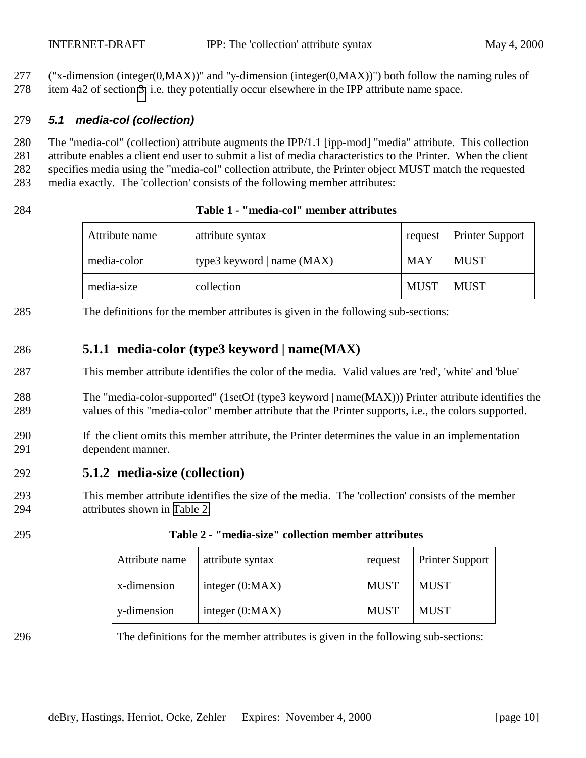<span id="page-9-0"></span> ("x-dimension (integer(0,MAX))" and "y-dimension (integer(0,MAX))") both follow the naming rules of item 4a2 of section [3,](#page-5-0) i.e. they potentially occur elsewhere in the IPP attribute name space.

#### *5.1 media-col (collection)*

 The "media-col" (collection) attribute augments the IPP/1.1 [ipp-mod] "media" attribute. This collection attribute enables a client end user to submit a list of media characteristics to the Printer. When the client specifies media using the "media-col" collection attribute, the Printer object MUST match the requested media exactly. The 'collection' consists of the following member attributes:

#### **Table 1 - "media-col" member attributes**

| Attribute name | attribute syntax             | request     | <b>Printer Support</b> |
|----------------|------------------------------|-------------|------------------------|
| media-color    | type3 keyword   name $(MAX)$ | MAY         | <b>MUST</b>            |
| media-size     | collection                   | <b>MUST</b> | <b>MUST</b>            |

The definitions for the member attributes is given in the following sub-sections:

## **5.1.1 media-color (type3 keyword | name(MAX)**

- This member attribute identifies the color of the media. Valid values are 'red', 'white' and 'blue'
- The "media-color-supported" (1setOf (type3 keyword | name(MAX))) Printer attribute identifies the values of this "media-color" member attribute that the Printer supports, i.e., the colors supported.
- If the client omits this member attribute, the Printer determines the value in an implementation dependent manner.

### **5.1.2 media-size (collection)**

 This member attribute identifies the size of the media. The 'collection' consists of the member attributes shown in Table 2:

| Attribute name |             | attribute syntax  | request     | <b>Printer Support</b> |
|----------------|-------------|-------------------|-------------|------------------------|
|                | x-dimension | integer $(0:MAX)$ | <b>MUST</b> | MUST                   |
|                | y-dimension | integer $(0:MAX)$ | <b>MUST</b> | <b>MUST</b>            |

**Table 2 - "media-size" collection member attributes**

The definitions for the member attributes is given in the following sub-sections: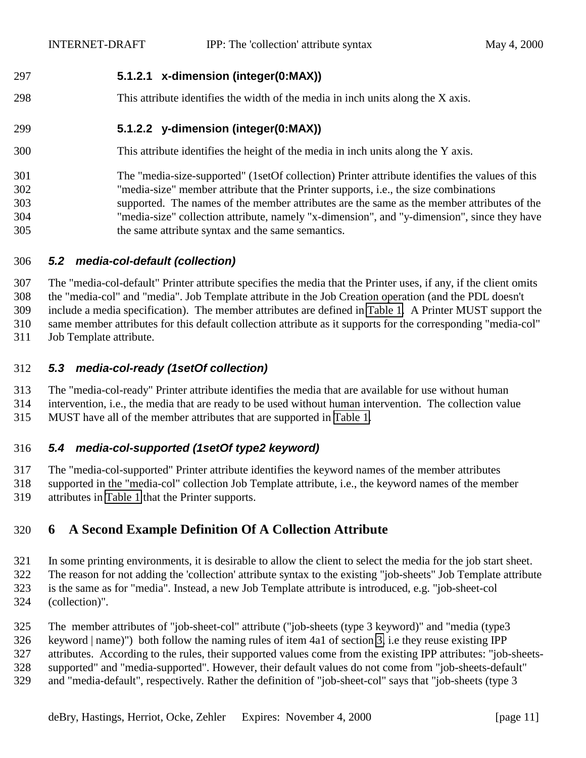## <span id="page-10-0"></span>**5.1.2.1 x-dimension (integer(0:MAX))**

This attribute identifies the width of the media in inch units along the X axis.

## **5.1.2.2 y-dimension (integer(0:MAX))**

This attribute identifies the height of the media in inch units along the Y axis.

### The "media-size-supported" (1setOf collection) Printer attribute identifies the values of this "media-size" member attribute that the Printer supports, i.e., the size combinations supported. The names of the member attributes are the same as the member attributes of the "media-size" collection attribute, namely "x-dimension", and "y-dimension", since they have the same attribute syntax and the same semantics.

### *5.2 media-col-default (collection)*

 The "media-col-default" Printer attribute specifies the media that the Printer uses, if any, if the client omits the "media-col" and "media". Job Template attribute in the Job Creation operation (and the PDL doesn't include a media specification). The member attributes are defined in [Table 1.](#page-9-0) A Printer MUST support the

same member attributes for this default collection attribute as it supports for the corresponding "media-col"

Job Template attribute.

## *5.3 media-col-ready (1setOf collection)*

The "media-col-ready" Printer attribute identifies the media that are available for use without human

 intervention, i.e., the media that are ready to be used without human intervention. The collection value MUST have all of the member attributes that are supported in [Table 1.](#page-9-0)

## *5.4 media-col-supported (1setOf type2 keyword)*

 The "media-col-supported" Printer attribute identifies the keyword names of the member attributes supported in the "media-col" collection Job Template attribute, i.e., the keyword names of the member attributes in [Table 1](#page-9-0) that the Printer supports.

## **6 A Second Example Definition Of A Collection Attribute**

 In some printing environments, it is desirable to allow the client to select the media for the job start sheet. The reason for not adding the 'collection' attribute syntax to the existing "job-sheets" Job Template attribute is the same as for "media". Instead, a new Job Template attribute is introduced, e.g. "job-sheet-col (collection)".

The member attributes of "job-sheet-col" attribute ("job-sheets (type 3 keyword)" and "media (type3

keyword | name)") both follow the naming rules of item 4a1 of section [3,](#page-5-0) i.e they reuse existing IPP

attributes. According to the rules, their supported values come from the existing IPP attributes: "job-sheets-

supported" and "media-supported". However, their default values do not come from "job-sheets-default"

and "media-default", respectively. Rather the definition of "job-sheet-col" says that "job-sheets (type 3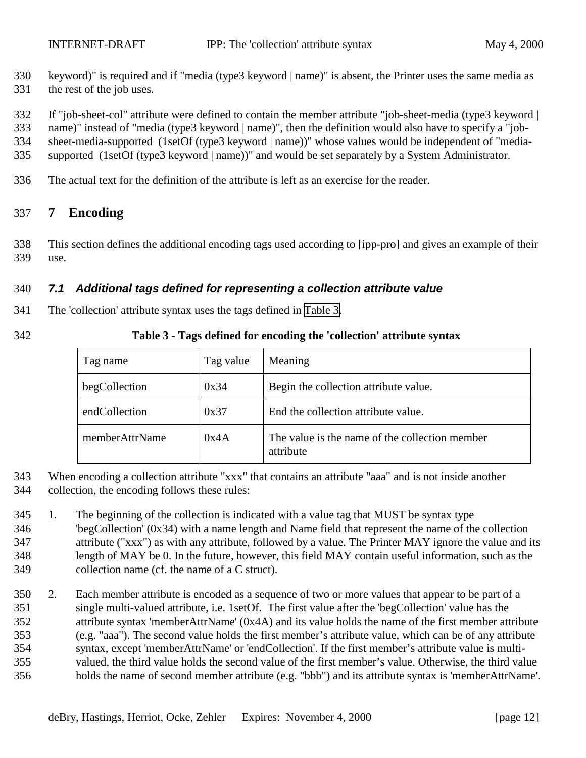- <span id="page-11-0"></span> keyword)" is required and if "media (type3 keyword | name)" is absent, the Printer uses the same media as the rest of the job uses.
- If "job-sheet-col" attribute were defined to contain the member attribute "job-sheet-media (type3 keyword |

name)" instead of "media (type3 keyword | name)", then the definition would also have to specify a "job-

sheet-media-supported (1setOf (type3 keyword | name))" whose values would be independent of "media-

- supported (1setOf (type3 keyword | name))" and would be set separately by a System Administrator.
- The actual text for the definition of the attribute is left as an exercise for the reader.

## **7 Encoding**

 This section defines the additional encoding tags used according to [ipp-pro] and gives an example of their use.

#### *7.1 Additional tags defined for representing a collection attribute value*

- The 'collection' attribute syntax uses the tags defined in Table 3.
- 

#### **Table 3 - Tags defined for encoding the 'collection' attribute syntax**

| Tag name       | Tag value | Meaning                                                     |
|----------------|-----------|-------------------------------------------------------------|
| begCollection  | 0x34      | Begin the collection attribute value.                       |
| endCollection  | 0x37      | End the collection attribute value.                         |
| memberAttrName | 0x4A      | The value is the name of the collection member<br>attribute |

- When encoding a collection attribute "xxx" that contains an attribute "aaa" and is not inside another
- collection, the encoding follows these rules:
- 1. The beginning of the collection is indicated with a value tag that MUST be syntax type 'begCollection' (0x34) with a name length and Name field that represent the name of the collection attribute ("xxx") as with any attribute, followed by a value. The Printer MAY ignore the value and its length of MAY be 0. In the future, however, this field MAY contain useful information, such as the collection name (cf. the name of a C struct).
- 2. Each member attribute is encoded as a sequence of two or more values that appear to be part of a single multi-valued attribute, i.e. 1setOf. The first value after the 'begCollection' value has the attribute syntax 'memberAttrName' (0x4A) and its value holds the name of the first member attribute (e.g. "aaa"). The second value holds the first member's attribute value, which can be of any attribute syntax, except 'memberAttrName' or 'endCollection'. If the first member's attribute value is multi- valued, the third value holds the second value of the first member's value. Otherwise, the third value holds the name of second member attribute (e.g. "bbb") and its attribute syntax is 'memberAttrName'.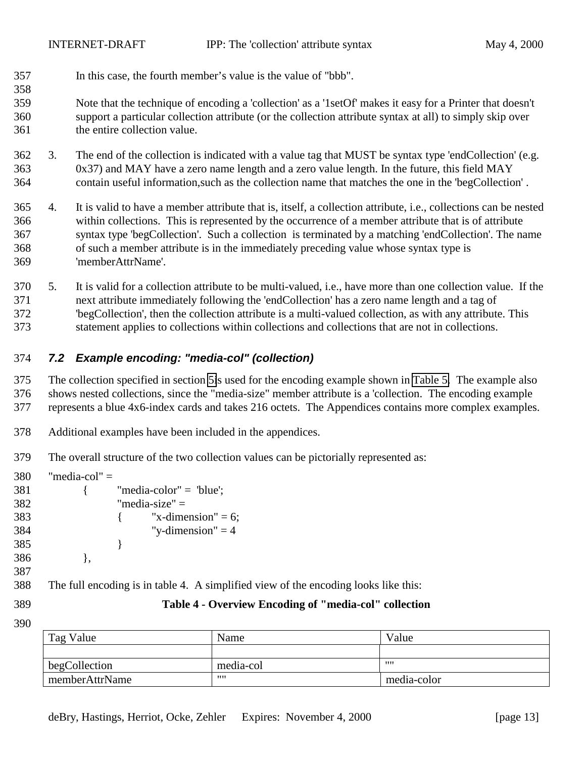<span id="page-12-0"></span>In this case, the fourth member's value is the value of "bbb".

 Note that the technique of encoding a 'collection' as a '1setOf' makes it easy for a Printer that doesn't support a particular collection attribute (or the collection attribute syntax at all) to simply skip over the entire collection value.

- 3. The end of the collection is indicated with a value tag that MUST be syntax type 'endCollection' (e.g. 0x37) and MAY have a zero name length and a zero value length. In the future, this field MAY contain useful information,such as the collection name that matches the one in the 'begCollection' .
- 4. It is valid to have a member attribute that is, itself, a collection attribute, i.e., collections can be nested within collections. This is represented by the occurrence of a member attribute that is of attribute syntax type 'begCollection'. Such a collection is terminated by a matching 'endCollection'. The name of such a member attribute is in the immediately preceding value whose syntax type is 'memberAttrName'.

 5. It is valid for a collection attribute to be multi-valued, i.e., have more than one collection value. If the next attribute immediately following the 'endCollection' has a zero name length and a tag of 'begCollection', then the collection attribute is a multi-valued collection, as with any attribute. This statement applies to collections within collections and collections that are not in collections.

## *7.2 Example encoding: "media-col" (collection)*

 The collection specified in section [5i](#page-8-0)s used for the encoding example shown in [Table 5.](#page-13-0) The example also shows nested collections, since the "media-size" member attribute is a 'collection. The encoding example represents a blue 4x6-index cards and takes 216 octets. The Appendices contains more complex examples.

- Additional examples have been included in the appendices.
- The overall structure of the two collection values can be pictorially represented as:

| 380 | "media-col" $=$ |                                                                                     |
|-----|-----------------|-------------------------------------------------------------------------------------|
| 381 |                 | "media-color" = $"blue';$                                                           |
| 382 |                 | "media-size" $=$                                                                    |
| 383 |                 | "x-dimension" = 6;                                                                  |
| 384 |                 | "y-dimension" $=$ 4                                                                 |
| 385 |                 |                                                                                     |
| 386 |                 |                                                                                     |
| 387 |                 |                                                                                     |
| 388 |                 | The full encoding is in table 4. A simplified view of the encoding looks like this: |
| 389 |                 | Table 4 - Overview Encoding of "media-col" collection                               |

| Tag Value      | Name      | Value       |
|----------------|-----------|-------------|
|                |           |             |
| begCollection  | media-col | 1111        |
| memberAttrName | ,,,,      | media-color |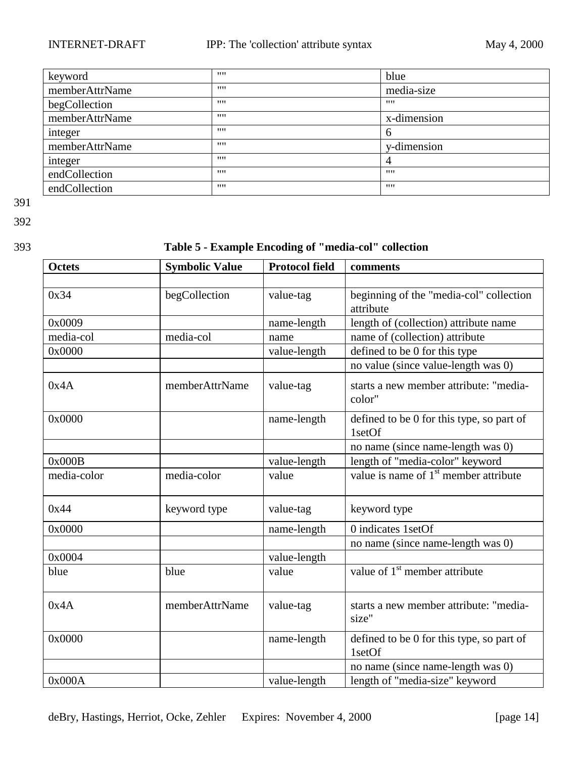<span id="page-13-0"></span>

| keyword        | 1111 | blue        |
|----------------|------|-------------|
| memberAttrName | 1111 | media-size  |
| begCollection  | 1111 | 1111        |
| memberAttrName | 1111 | x-dimension |
| integer        | 1111 | h           |
| memberAttrName | 1111 | y-dimension |
| integer        | 1111 |             |
| endCollection  | 1111 | 1111        |
| endCollection  | 1111 | 1111        |

392

## 393 **Table 5 - Example Encoding of "media-col" collection**

| <b>Octets</b> | <b>Symbolic Value</b> | <b>Protocol field</b> | comments                                             |
|---------------|-----------------------|-----------------------|------------------------------------------------------|
|               |                       |                       |                                                      |
| 0x34          | begCollection         | value-tag             | beginning of the "media-col" collection<br>attribute |
| 0x0009        |                       | name-length           | length of (collection) attribute name                |
| media-col     | media-col             | name                  | name of (collection) attribute                       |
| 0x0000        |                       | value-length          | defined to be 0 for this type                        |
|               |                       |                       | no value (since value-length was 0)                  |
| 0x4A          | memberAttrName        | value-tag             | starts a new member attribute: "media-<br>color"     |
| 0x0000        |                       | name-length           | defined to be 0 for this type, so part of<br>1setOf  |
|               |                       |                       | no name (since name-length was 0)                    |
| 0x000B        |                       | value-length          | length of "media-color" keyword                      |
| media-color   | media-color           | value                 | value is name of 1 <sup>st</sup> member attribute    |
| 0x44          | keyword type          | value-tag             | keyword type                                         |
| 0x0000        |                       | name-length           | 0 indicates 1setOf                                   |
|               |                       |                       | no name (since name-length was 0)                    |
| 0x0004        |                       | value-length          |                                                      |
| blue          | blue                  | value                 | value of 1 <sup>st</sup> member attribute            |
| 0x4A          | memberAttrName        | value-tag             | starts a new member attribute: "media-<br>size"      |
| 0x0000        |                       | name-length           | defined to be 0 for this type, so part of<br>1setOf  |
|               |                       |                       | no name (since name-length was 0)                    |
| 0x000A        |                       | value-length          | length of "media-size" keyword                       |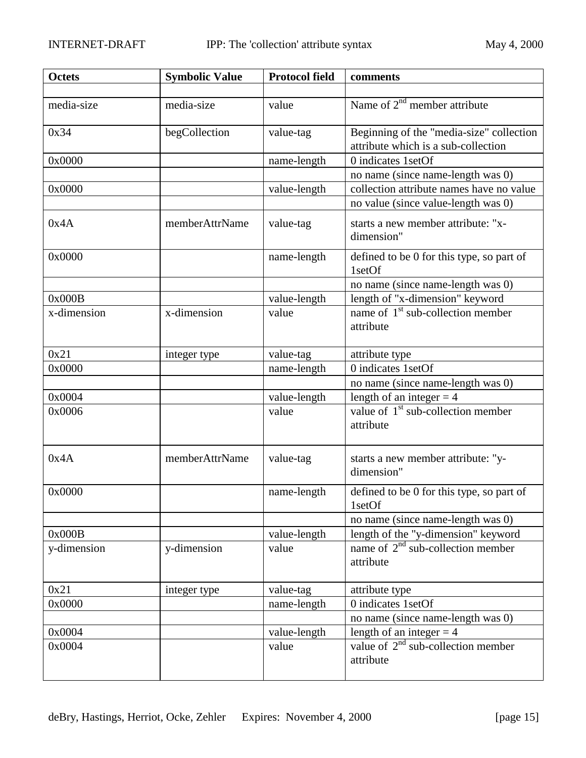| <b>Octets</b> | <b>Symbolic Value</b> | <b>Protocol field</b> | comments                                                                        |
|---------------|-----------------------|-----------------------|---------------------------------------------------------------------------------|
|               |                       |                       |                                                                                 |
| media-size    | media-size            | value                 | Name of $2nd$ member attribute                                                  |
| 0x34          | begCollection         | value-tag             | Beginning of the "media-size" collection<br>attribute which is a sub-collection |
| 0x0000        |                       | name-length           | 0 indicates 1setOf                                                              |
|               |                       |                       | no name (since name-length was 0)                                               |
| 0x0000        |                       | value-length          | collection attribute names have no value                                        |
|               |                       |                       | no value (since value-length was 0)                                             |
| 0x4A          | memberAttrName        | value-tag             | starts a new member attribute: "x-<br>dimension"                                |
| 0x0000        |                       | name-length           | defined to be 0 for this type, so part of<br>1setOf                             |
|               |                       |                       | no name (since name-length was 0)                                               |
| 0x000B        |                       | value-length          | length of "x-dimension" keyword                                                 |
| x-dimension   | x-dimension           | value                 | name of $1st$ sub-collection member<br>attribute                                |
| 0x21          | integer type          | value-tag             | attribute type                                                                  |
| 0x0000        |                       | name-length           | 0 indicates 1setOf                                                              |
|               |                       |                       | no name (since name-length was 0)                                               |
| 0x0004        |                       | value-length          | length of an integer $=$ 4                                                      |
| 0x0006        |                       | value                 | value of $1st$ sub-collection member<br>attribute                               |
| 0x4A          | memberAttrName        | value-tag             | starts a new member attribute: "y-<br>dimension"                                |
| 0x0000        |                       | name-length           | defined to be 0 for this type, so part of<br>1setOf                             |
|               |                       |                       | no name (since name-length was 0)                                               |
| 0x000B        |                       | value-length          | length of the "y-dimension" keyword                                             |
| y-dimension   | y-dimension           | value                 | name of $2nd$ sub-collection member<br>attribute                                |
| 0x21          | integer type          | value-tag             | attribute type                                                                  |
| 0x0000        |                       | name-length           | 0 indicates 1setOf                                                              |
|               |                       |                       | no name (since name-length was 0)                                               |
| 0x0004        |                       | value-length          | length of an integer $=$ 4                                                      |
| 0x0004        |                       | value                 | value of $2^{nd}$ sub-collection member<br>attribute                            |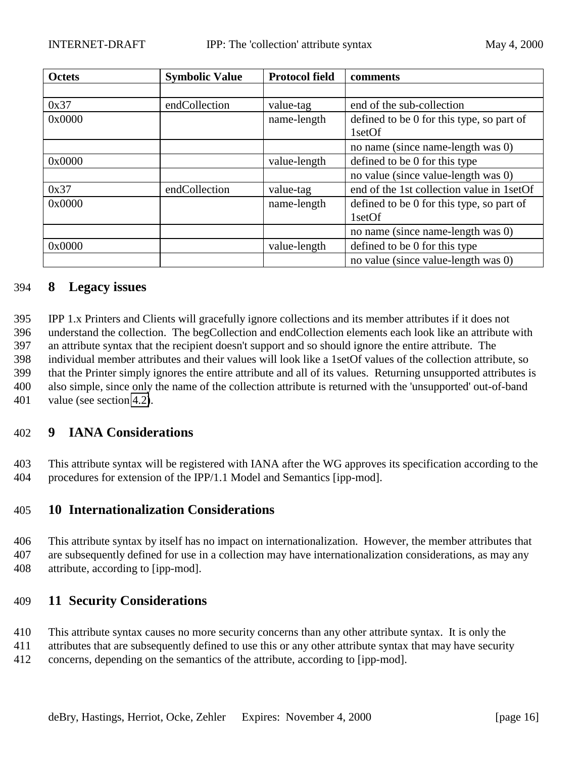<span id="page-15-0"></span>

| <b>Octets</b> | <b>Symbolic Value</b> | <b>Protocol field</b> | comments                                  |
|---------------|-----------------------|-----------------------|-------------------------------------------|
|               |                       |                       |                                           |
| 0x37          | endCollection         | value-tag             | end of the sub-collection                 |
| 0x0000        |                       | name-length           | defined to be 0 for this type, so part of |
|               |                       |                       | 1setOf                                    |
|               |                       |                       | no name (since name-length was 0)         |
| 0x0000        |                       | value-length          | defined to be 0 for this type             |
|               |                       |                       | no value (since value-length was 0)       |
| 0x37          | endCollection         | value-tag             | end of the 1st collection value in 1setOf |
| 0x0000        |                       | name-length           | defined to be 0 for this type, so part of |
|               |                       |                       | 1setOf                                    |
|               |                       |                       | no name (since name-length was 0)         |
| 0x0000        |                       | value-length          | defined to be 0 for this type             |
|               |                       |                       | no value (since value-length was 0)       |

### 394 **8 Legacy issues**

 IPP 1.x Printers and Clients will gracefully ignore collections and its member attributes if it does not understand the collection. The begCollection and endCollection elements each look like an attribute with an attribute syntax that the recipient doesn't support and so should ignore the entire attribute. The individual member attributes and their values will look like a 1setOf values of the collection attribute, so that the Printer simply ignores the entire attribute and all of its values. Returning unsupported attributes is also simple, since only the name of the collection attribute is returned with the 'unsupported' out-of-band value (see section [4.2\)](#page-8-0).

## 402 **9 IANA Considerations**

403 This attribute syntax will be registered with IANA after the WG approves its specification according to the 404 procedures for extension of the IPP/1.1 Model and Semantics [ipp-mod].

### 405 **10 Internationalization Considerations**

406 This attribute syntax by itself has no impact on internationalization. However, the member attributes that 407 are subsequently defined for use in a collection may have internationalization considerations, as may any 408 attribute, according to [ipp-mod].

### 409 **11 Security Considerations**

- 410 This attribute syntax causes no more security concerns than any other attribute syntax. It is only the
- 411 attributes that are subsequently defined to use this or any other attribute syntax that may have security
- 412 concerns, depending on the semantics of the attribute, according to [ipp-mod].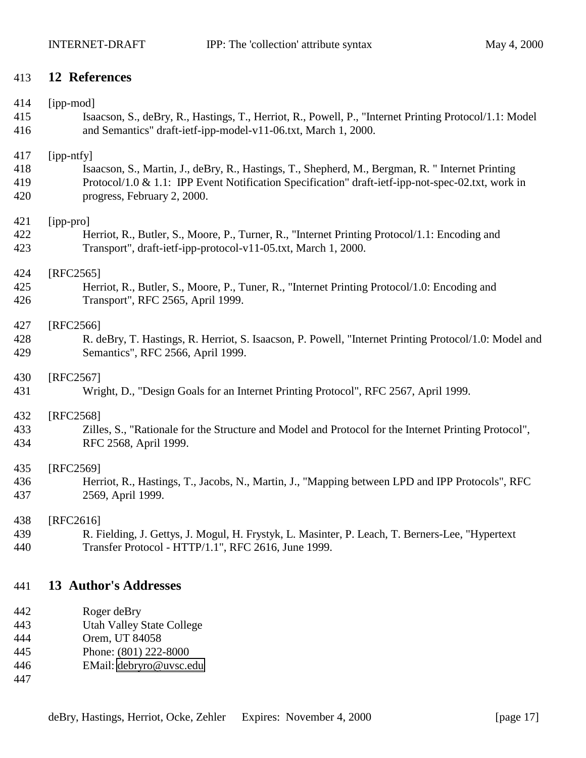## <span id="page-16-0"></span>**12 References**

| 414 | [ipp-mod]                                                                                              |
|-----|--------------------------------------------------------------------------------------------------------|
| 415 | Isaacson, S., deBry, R., Hastings, T., Herriot, R., Powell, P., "Internet Printing Protocol/1.1: Model |
| 416 | and Semantics" draft-ietf-ipp-model-v11-06.txt, March 1, 2000.                                         |
| 417 | [ipp-ntfy]                                                                                             |
| 418 | Isaacson, S., Martin, J., deBry, R., Hastings, T., Shepherd, M., Bergman, R. "Internet Printing        |
| 419 | Protocol/1.0 & 1.1: IPP Event Notification Specification" draft-ietf-ipp-not-spec-02.txt, work in      |
| 420 | progress, February 2, 2000.                                                                            |
| 421 | [ipp-pro]                                                                                              |
| 422 | Herriot, R., Butler, S., Moore, P., Turner, R., "Internet Printing Protocol/1.1: Encoding and          |
| 423 | Transport", draft-ietf-ipp-protocol-v11-05.txt, March 1, 2000.                                         |
| 424 | [RFC2565]                                                                                              |
| 425 | Herriot, R., Butler, S., Moore, P., Tuner, R., "Internet Printing Protocol/1.0: Encoding and           |
| 426 | Transport", RFC 2565, April 1999.                                                                      |
| 427 | [RFC2566]                                                                                              |
| 428 | R. deBry, T. Hastings, R. Herriot, S. Isaacson, P. Powell, "Internet Printing Protocol/1.0: Model and  |
| 429 | Semantics", RFC 2566, April 1999.                                                                      |
| 430 | $[RFC2567]$                                                                                            |
| 431 | Wright, D., "Design Goals for an Internet Printing Protocol", RFC 2567, April 1999.                    |
| 432 | [RFC2568]                                                                                              |
| 433 | Zilles, S., "Rationale for the Structure and Model and Protocol for the Internet Printing Protocol",   |
| 434 | RFC 2568, April 1999.                                                                                  |
| 435 | [RFC2569]                                                                                              |
| 436 | Herriot, R., Hastings, T., Jacobs, N., Martin, J., "Mapping between LPD and IPP Protocols", RFC        |
| 437 | 2569, April 1999.                                                                                      |
| 438 | [RFC2616]                                                                                              |
| 439 | R. Fielding, J. Gettys, J. Mogul, H. Frystyk, L. Masinter, P. Leach, T. Berners-Lee, "Hypertext"       |
| 440 | Transfer Protocol - HTTP/1.1", RFC 2616, June 1999.                                                    |
| 441 | <b>13 Author's Addresses</b>                                                                           |
| 442 | Roger deBry                                                                                            |
| 443 | <b>Utah Valley State College</b>                                                                       |
| 444 | Orem, UT 84058                                                                                         |
| 445 | Phone: (801) 222-8000                                                                                  |

EMail: [debryro@uvsc.edu](mailto:debryro@uvsc.edu)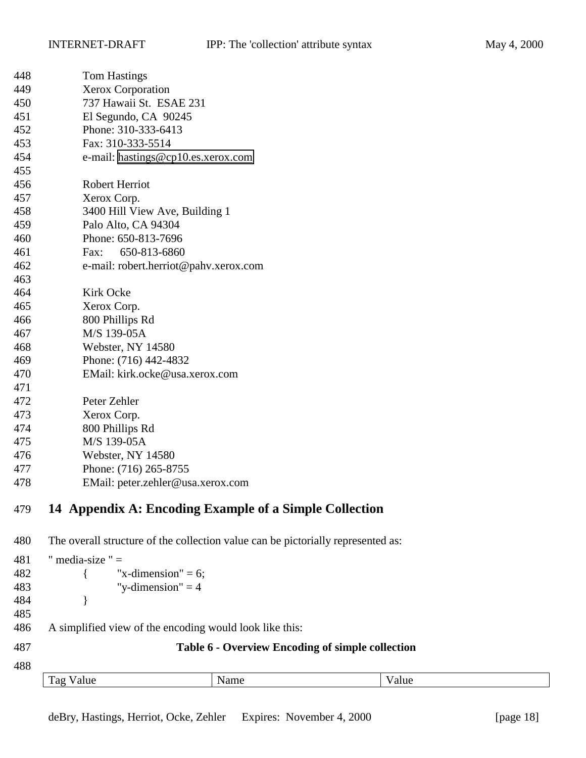<span id="page-17-0"></span>

| 448 | <b>Tom Hastings</b>                   |
|-----|---------------------------------------|
| 449 | <b>Xerox Corporation</b>              |
| 450 | 737 Hawaii St. ESAE 231               |
| 451 | El Segundo, CA 90245                  |
| 452 | Phone: 310-333-6413                   |
| 453 | Fax: 310-333-5514                     |
| 454 | e-mail: hastings@cp10.es.xerox.com    |
| 455 |                                       |
| 456 | <b>Robert Herriot</b>                 |
| 457 | Xerox Corp.                           |
| 458 | 3400 Hill View Ave, Building 1        |
| 459 | Palo Alto, CA 94304                   |
| 460 | Phone: 650-813-7696                   |
| 461 | 650-813-6860<br>Fax:                  |
| 462 | e-mail: robert.herriot@pahv.xerox.com |
| 463 |                                       |
| 464 | <b>Kirk Ocke</b>                      |
| 465 | Xerox Corp.                           |
| 466 | 800 Phillips Rd                       |
| 467 | M/S 139-05A                           |
| 468 | Webster, NY 14580                     |
| 469 | Phone: (716) 442-4832                 |
| 470 | EMail: kirk.ocke@usa.xerox.com        |
| 471 |                                       |
| 472 | Peter Zehler                          |
| 473 | Xerox Corp.                           |
| 474 | 800 Phillips Rd                       |
| 475 | M/S 139-05A                           |
| 476 | Webster, NY 14580                     |
| 477 | Phone: (716) 265-8755                 |
| 478 | EMail: peter.zehler@usa.xerox.com     |
|     |                                       |

# **14 Appendix A: Encoding Example of a Simple Collection**

The overall structure of the collection value can be pictorially represented as:

| " media-size " $=$ |      |                                                                                                         |                                                  |
|--------------------|------|---------------------------------------------------------------------------------------------------------|--------------------------------------------------|
|                    |      |                                                                                                         |                                                  |
|                    |      |                                                                                                         |                                                  |
|                    |      |                                                                                                         |                                                  |
|                    |      |                                                                                                         |                                                  |
|                    |      |                                                                                                         |                                                  |
|                    |      |                                                                                                         |                                                  |
|                    |      |                                                                                                         |                                                  |
| Tag Value          | Name | Value                                                                                                   |                                                  |
|                    |      | "x-dimension" = $6$ ;<br>"y-dimension" $=$ 4<br>A simplified view of the encoding would look like this: | Table 6 - Overview Encoding of simple collection |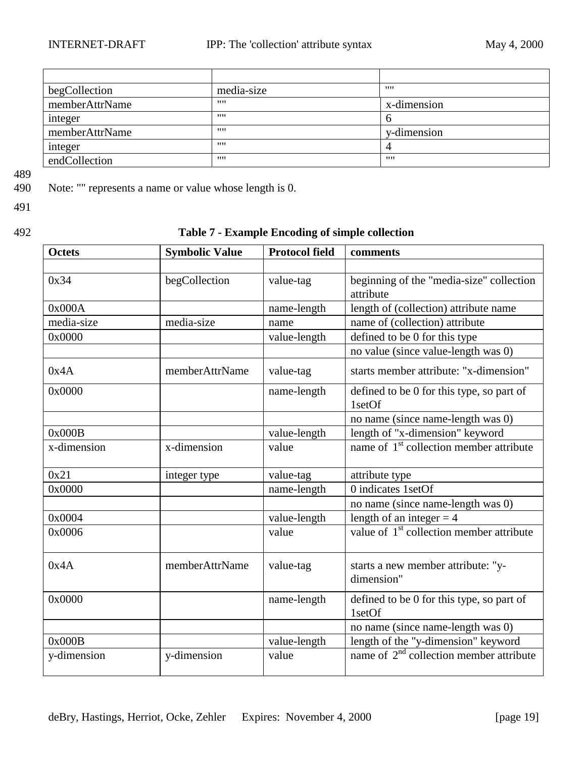<span id="page-18-0"></span>

| begCollection  | media-size | 1111        |
|----------------|------------|-------------|
| memberAttrName |            | x-dimension |
| integer        |            | O           |
| memberAttrName |            | y-dimension |
| integer        | 1111       |             |
| endCollection  | 1111       | 1111        |

489<br>490

Note: "" represents a name or value whose length is 0.

491

## 492 **Table 7 - Example Encoding of simple collection**

| <b>Octets</b> | <b>Symbolic Value</b> | <b>Protocol field</b> | comments                                              |
|---------------|-----------------------|-----------------------|-------------------------------------------------------|
|               |                       |                       |                                                       |
| 0x34          | begCollection         | value-tag             | beginning of the "media-size" collection<br>attribute |
| 0x000A        |                       | name-length           | length of (collection) attribute name                 |
| media-size    | media-size            | name                  | name of (collection) attribute                        |
| 0x0000        |                       | value-length          | defined to be 0 for this type                         |
|               |                       |                       | no value (since value-length was 0)                   |
| 0x4A          | memberAttrName        | value-tag             | starts member attribute: "x-dimension"                |
| 0x0000        |                       | name-length           | defined to be 0 for this type, so part of<br>1setOf   |
|               |                       |                       | no name (since name-length was 0)                     |
| 0x000B        |                       | value-length          | length of "x-dimension" keyword                       |
| x-dimension   | x-dimension           | value                 | name of 1 <sup>st</sup> collection member attribute   |
| 0x21          | integer type          | value-tag             | attribute type                                        |
| 0x0000        |                       | name-length           | 0 indicates 1setOf                                    |
|               |                       |                       | no name (since name-length was 0)                     |
| 0x0004        |                       | value-length          | length of an integer $=$ 4                            |
| 0x0006        |                       | value                 | value of 1 <sup>st</sup> collection member attribute  |
| 0x4A          | memberAttrName        | value-tag             | starts a new member attribute: "y-<br>dimension"      |
| 0x0000        |                       | name-length           | defined to be 0 for this type, so part of<br>1setOf   |
|               |                       |                       | no name (since name-length was 0)                     |
| 0x000B        |                       | value-length          | length of the "y-dimension" keyword                   |
| y-dimension   | y-dimension           | value                 | name of $2nd$ collection member attribute             |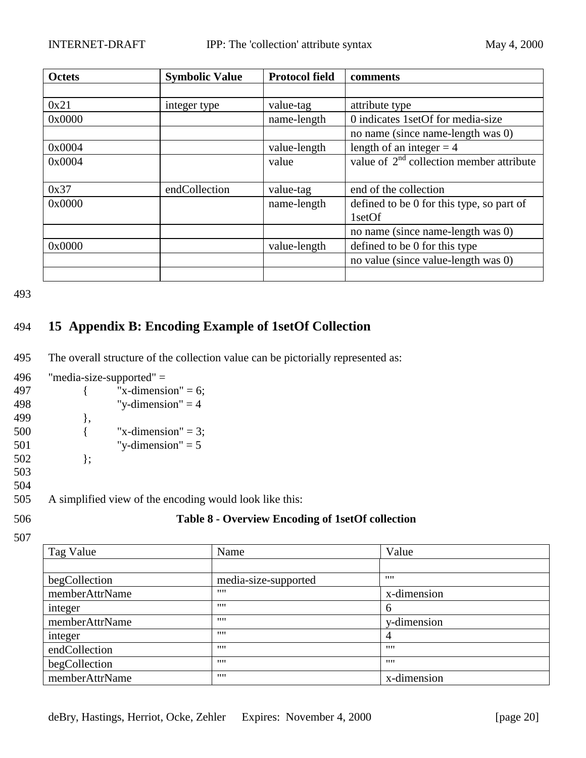<span id="page-19-0"></span>

| <b>Octets</b> | <b>Symbolic Value</b> | <b>Protocol field</b> | comments                                   |
|---------------|-----------------------|-----------------------|--------------------------------------------|
|               |                       |                       |                                            |
| 0x21          | integer type          | value-tag             | attribute type                             |
| 0x0000        |                       | name-length           | 0 indicates 1setOf for media-size          |
|               |                       |                       | no name (since name-length was 0)          |
| 0x0004        |                       | value-length          | length of an integer $=$ 4                 |
| 0x0004        |                       | value                 | value of $2nd$ collection member attribute |
|               |                       |                       |                                            |
| 0x37          | endCollection         | value-tag             | end of the collection                      |
| 0x0000        |                       | name-length           | defined to be 0 for this type, so part of  |
|               |                       |                       | 1setOf                                     |
|               |                       |                       | no name (since name-length was 0)          |
| 0x0000        |                       | value-length          | defined to be 0 for this type              |
|               |                       |                       | no value (since value-length was 0)        |
|               |                       |                       |                                            |

## 494 **15 Appendix B: Encoding Example of 1setOf Collection**

- 495 The overall structure of the collection value can be pictorially represented as:
- 496 "media-size-supported" =
- 497  $\{$  "x-dimension" = 6; 498 "y-dimension"  $= 4$ 499 }, 500  $\{$  "x-dimension" = 3; 501 "y-dimension" =  $5$ 502 }; 503 504

505 A simplified view of the encoding would look like this:

## 506 **Table 8 - Overview Encoding of 1setOf collection**

| Tag Value      | Name                 | Value       |
|----------------|----------------------|-------------|
|                |                      |             |
| begCollection  | media-size-supported | 1111        |
| memberAttrName | 1111                 | x-dimension |
| integer        | 1111                 | 6           |
| memberAttrName | 1111                 | y-dimension |
| integer        | 1111                 | 4           |
| endCollection  | 1111                 | 1111        |
| begCollection  | 1111                 | 1111        |
| memberAttrName | 1111                 | x-dimension |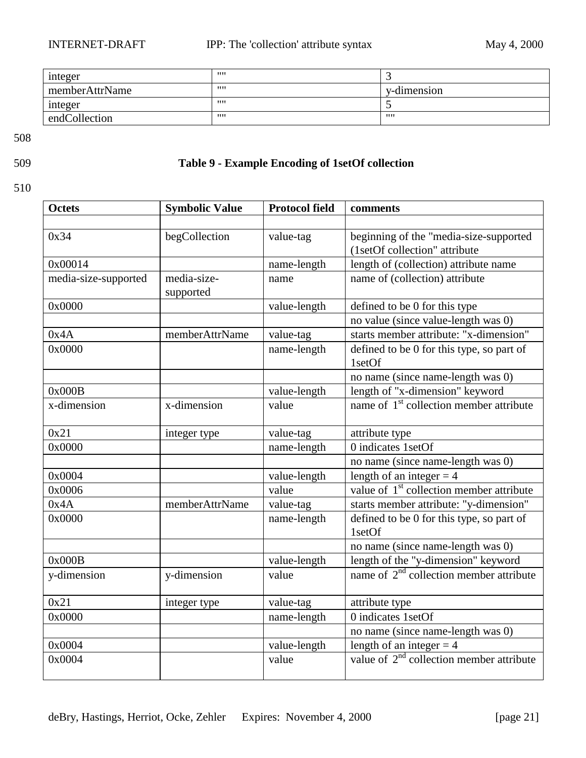<span id="page-20-0"></span>

| integer        | 1111 |             |
|----------------|------|-------------|
| memberAttrName | 1111 | v-dimension |
| integer        | 1111 |             |
| endCollection  | 1111 | 1111        |

## 509 **Table 9 - Example Encoding of 1setOf collection**

| <b>Octets</b>        | <b>Symbolic Value</b> | <b>Protocol field</b> | comments                                            |
|----------------------|-----------------------|-----------------------|-----------------------------------------------------|
|                      |                       |                       |                                                     |
| 0x34                 | begCollection         | value-tag             | beginning of the "media-size-supported              |
|                      |                       |                       | (1setOf collection" attribute                       |
| 0x00014              |                       | name-length           | length of (collection) attribute name               |
| media-size-supported | media-size-           | name                  | name of (collection) attribute                      |
|                      | supported             |                       |                                                     |
| 0x0000               |                       | value-length          | defined to be 0 for this type                       |
|                      |                       |                       | no value (since value-length was 0)                 |
| 0x4A                 | memberAttrName        | value-tag             | starts member attribute: "x-dimension"              |
| 0x0000               |                       | name-length           | defined to be 0 for this type, so part of           |
|                      |                       |                       | 1setOf                                              |
|                      |                       |                       | no name (since name-length was 0)                   |
| 0x000B               |                       | value-length          | length of "x-dimension" keyword                     |
| x-dimension          | x-dimension           | value                 | name of 1 <sup>st</sup> collection member attribute |
|                      |                       |                       |                                                     |
| 0x21                 | integer type          | value-tag             | attribute type                                      |
| 0x0000               |                       | name-length           | 0 indicates 1setOf                                  |
|                      |                       |                       | no name (since name-length was 0)                   |
| 0x0004               |                       | value-length          | length of an integer $=$ 4                          |
| 0x0006               |                       | value                 | value of $1st$ collection member attribute          |
| 0x4A                 | memberAttrName        | value-tag             | starts member attribute: "y-dimension"              |
| 0x0000               |                       | name-length           | defined to be 0 for this type, so part of           |
|                      |                       |                       | 1setOf                                              |
|                      |                       |                       | no name (since name-length was 0)                   |
| 0x000B               |                       | value-length          | length of the "y-dimension" keyword                 |
| y-dimension          | y-dimension           | value                 | name of $2nd$ collection member attribute           |
|                      |                       |                       |                                                     |
| 0x21                 | integer type          | value-tag             | attribute type                                      |
| 0x0000               |                       | name-length           | 0 indicates 1setOf                                  |
|                      |                       |                       | no name (since name-length was 0)                   |
| 0x0004               |                       | value-length          | length of an integer $=$ 4                          |
| 0x0004               |                       | value                 | value of $2nd$ collection member attribute          |
|                      |                       |                       |                                                     |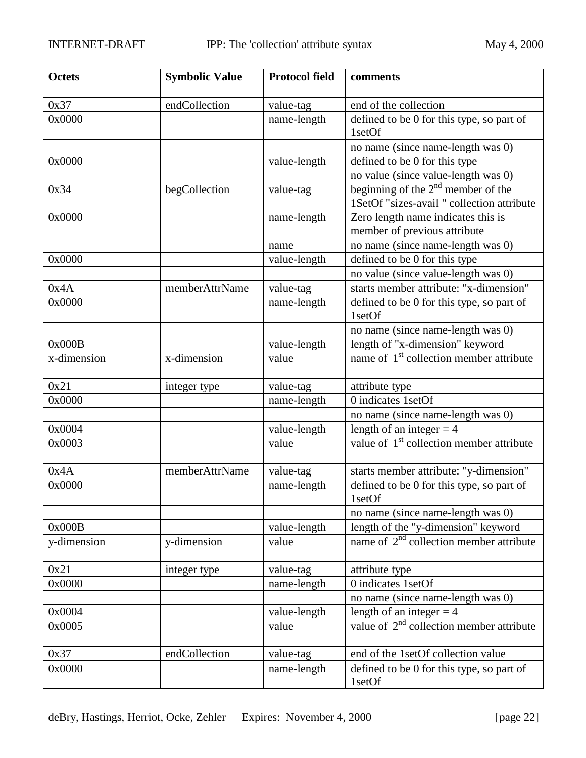| <b>Octets</b> | <b>Symbolic Value</b> | <b>Protocol field</b> | comments                                                                           |
|---------------|-----------------------|-----------------------|------------------------------------------------------------------------------------|
|               |                       |                       |                                                                                    |
| 0x37          | endCollection         | value-tag             | end of the collection                                                              |
| 0x0000        |                       | name-length           | defined to be 0 for this type, so part of<br>1setOf                                |
|               |                       |                       | no name (since name-length was 0)                                                  |
| 0x0000        |                       | value-length          | defined to be 0 for this type                                                      |
|               |                       |                       | no value (since value-length was 0)                                                |
| 0x34          | begCollection         | value-tag             | beginning of the $2nd$ member of the<br>1SetOf "sizes-avail " collection attribute |
| 0x0000        |                       | name-length           | Zero length name indicates this is<br>member of previous attribute                 |
|               |                       | name                  | no name (since name-length was 0)                                                  |
| 0x0000        |                       | value-length          | defined to be 0 for this type                                                      |
|               |                       |                       | no value (since value-length was 0)                                                |
| 0x4A          | memberAttrName        | value-tag             | starts member attribute: "x-dimension"                                             |
| 0x0000        |                       | name-length           | defined to be 0 for this type, so part of<br>1setOf                                |
|               |                       |                       | no name (since name-length was 0)                                                  |
| 0x000B        |                       | value-length          | length of "x-dimension" keyword                                                    |
| x-dimension   | x-dimension           | value                 | name of 1 <sup>st</sup> collection member attribute                                |
| 0x21          | integer type          | value-tag             | attribute type                                                                     |
| 0x0000        |                       | name-length           | 0 indicates 1setOf                                                                 |
|               |                       |                       | no name (since name-length was 0)                                                  |
| 0x0004        |                       | value-length          | length of an integer $=$ 4                                                         |
| 0x0003        |                       | value                 | value of 1 <sup>st</sup> collection member attribute                               |
| 0x4A          | memberAttrName        | value-tag             | starts member attribute: "y-dimension"                                             |
| 0x0000        |                       | name-length           | defined to be 0 for this type, so part of<br>1setOf                                |
|               |                       |                       | no name (since name-length was 0)                                                  |
| 0x000B        |                       | value-length          | length of the "y-dimension" keyword                                                |
| y-dimension   | y-dimension           | value                 | name of $2nd$ collection member attribute                                          |
| 0x21          | integer type          | value-tag             | attribute type                                                                     |
| 0x0000        |                       | name-length           | 0 indicates 1setOf                                                                 |
|               |                       |                       | no name (since name-length was 0)                                                  |
| 0x0004        |                       | value-length          | length of an integer $=$ 4                                                         |
| 0x0005        |                       | value                 | value of $2nd$ collection member attribute                                         |
| 0x37          | endCollection         | value-tag             | end of the 1setOf collection value                                                 |
| 0x0000        |                       | name-length           | defined to be 0 for this type, so part of<br>1setOf                                |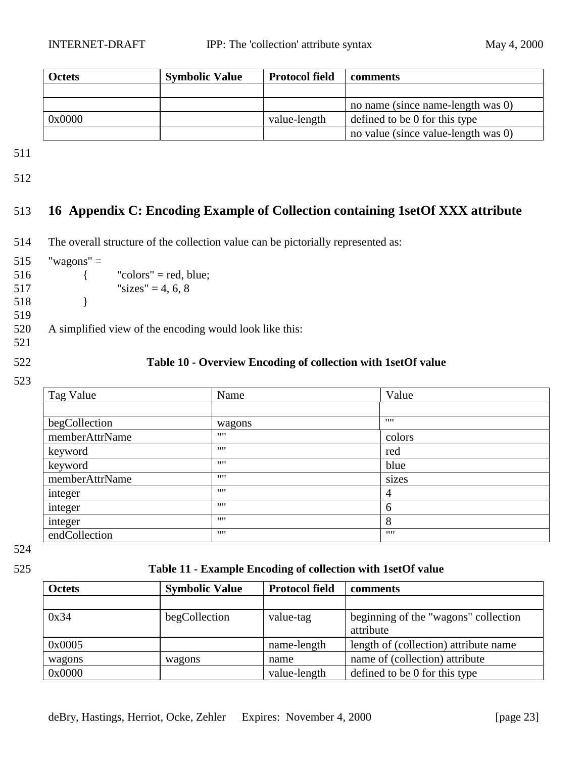<span id="page-22-0"></span>

| <b>Octets</b> | <b>Symbolic Value</b> | <b>Protocol field</b> | comments                               |
|---------------|-----------------------|-----------------------|----------------------------------------|
|               |                       |                       |                                        |
|               |                       |                       | no name (since name-length was 0)      |
| 0x0000        |                       | value-length          | defined to be 0 for this type          |
|               |                       |                       | no value (since value-length was $0$ ) |

512

## 513 **16 Appendix C: Encoding Example of Collection containing 1setOf XXX attribute**

514 The overall structure of the collection value can be pictorially represented as:

- $515$  "wagons" =
- $516$  { "colors" = red, blue; 517 "sizes" = 4, 6, 8
- 518 }
- 519

520 A simplified view of the encoding would look like this:

521

### 522 **Table 10 - Overview Encoding of collection with 1setOf value**

523

| Tag Value      | Name   | Value          |
|----------------|--------|----------------|
|                |        |                |
| begCollection  | wagons | 1111           |
| memberAttrName | 1111   | colors         |
| keyword        | 1111   | red            |
| keyword        | 1111   | blue           |
| memberAttrName | 1111   | sizes          |
| integer        | 1111   | $\overline{4}$ |
| integer        | 1111   | 6              |
| integer        | 1111   | 8              |
| endCollection  | 1111   | 1111           |

524

#### 525 **Table 11 - Example Encoding of collection with 1setOf value**

| <b>Octets</b> | <b>Symbolic Value</b> | <b>Protocol field</b> | comments                              |
|---------------|-----------------------|-----------------------|---------------------------------------|
|               |                       |                       |                                       |
| 0x34          | begCollection         | value-tag             | beginning of the "wagons" collection  |
|               |                       |                       | attribute                             |
| 0x0005        |                       | name-length           | length of (collection) attribute name |
| wagons        | wagons                | name                  | name of (collection) attribute        |
| 0x0000        |                       | value-length          | defined to be 0 for this type         |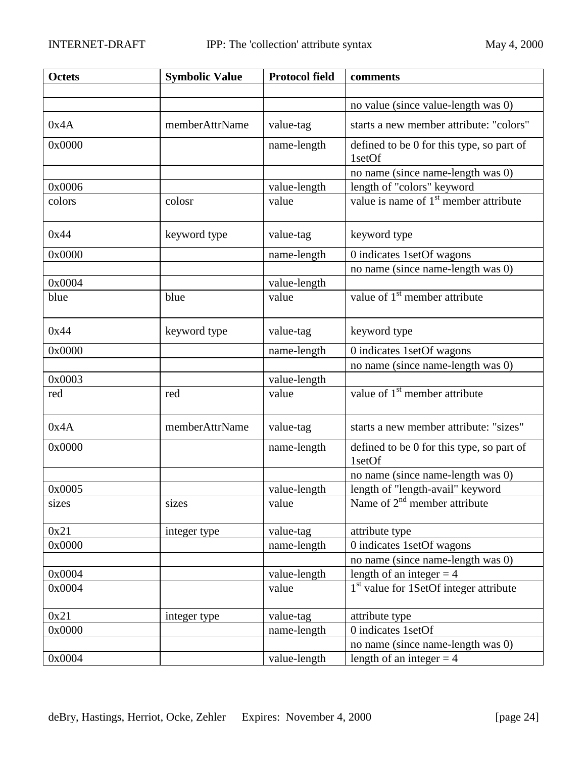| <b>Octets</b> | <b>Symbolic Value</b> | <b>Protocol field</b> | comments                                            |
|---------------|-----------------------|-----------------------|-----------------------------------------------------|
|               |                       |                       |                                                     |
|               |                       |                       | no value (since value-length was 0)                 |
| 0x4A          | memberAttrName        | value-tag             | starts a new member attribute: "colors"             |
| 0x0000        |                       | name-length           | defined to be 0 for this type, so part of<br>1setOf |
|               |                       |                       | no name (since name-length was 0)                   |
| 0x0006        |                       | value-length          | length of "colors" keyword                          |
| colors        | colosr                | value                 | value is name of 1 <sup>st</sup> member attribute   |
| 0x44          | keyword type          | value-tag             | keyword type                                        |
| 0x0000        |                       | name-length           | 0 indicates 1setOf wagons                           |
|               |                       |                       | no name (since name-length was 0)                   |
| 0x0004        |                       | value-length          |                                                     |
| blue          | blue                  | value                 | value of 1 <sup>st</sup> member attribute           |
| 0x44          | keyword type          | value-tag             | keyword type                                        |
| 0x0000        |                       | name-length           | 0 indicates 1setOf wagons                           |
|               |                       |                       | no name (since name-length was 0)                   |
| 0x0003        |                       | value-length          |                                                     |
| red           | red                   | value                 | value of 1 <sup>st</sup> member attribute           |
| 0x4A          | memberAttrName        | value-tag             | starts a new member attribute: "sizes"              |
| 0x0000        |                       | name-length           | defined to be 0 for this type, so part of<br>1setOf |
|               |                       |                       | no name (since name-length was 0)                   |
| 0x0005        |                       | value-length          | length of "length-avail" keyword                    |
| sizes         | sizes                 | value                 | Name of $2nd$ member attribute                      |
| 0x21          | integer type          | value-tag             | attribute type                                      |
| 0x0000        |                       | name-length           | 0 indicates 1setOf wagons                           |
|               |                       |                       | no name (since name-length was 0)                   |
| 0x0004        |                       | value-length          | length of an integer $=$ 4                          |
| 0x0004        |                       | value                 | 1 <sup>st</sup> value for 1SetOf integer attribute  |
| 0x21          | integer type          | value-tag             | attribute type                                      |
| 0x0000        |                       | name-length           | 0 indicates 1setOf                                  |
|               |                       |                       | no name (since name-length was 0)                   |
| 0x0004        |                       | value-length          | length of an integer $=$ 4                          |